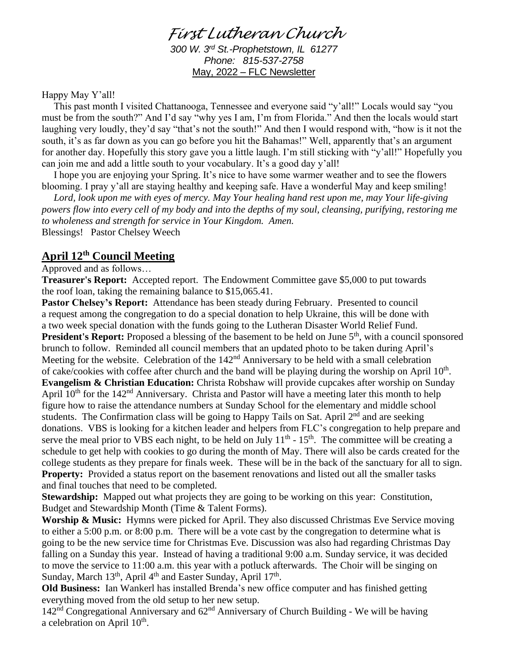# *First Lutheran Church*

*300 W. 3rd St.-Prophetstown, IL 61277 Phone: 815-537-2758* May, 2022 – FLC Newsletter

Happy May Y'all!

This past month I visited Chattanooga, Tennessee and everyone said "y'all!" Locals would say "you must be from the south?" And I'd say "why yes I am, I'm from Florida." And then the locals would start laughing very loudly, they'd say "that's not the south!" And then I would respond with, "how is it not the south, it's as far down as you can go before you hit the Bahamas!" Well, apparently that's an argument for another day. Hopefully this story gave you a little laugh. I'm still sticking with "y'all!" Hopefully you can join me and add a little south to your vocabulary. It's a good day y'all!

I hope you are enjoying your Spring. It's nice to have some warmer weather and to see the flowers blooming. I pray y'all are staying healthy and keeping safe. Have a wonderful May and keep smiling!

*Lord, look upon me with eyes of mercy. May Your healing hand rest upon me, may Your life-giving powers flow into every cell of my body and into the depths of my soul, cleansing, purifying, restoring me to wholeness and strength for service in Your Kingdom. Amen.* Blessings! Pastor Chelsey Weech

### **April 12th Council Meeting**

Approved and as follows…

**Treasurer's Report:** Accepted report. The Endowment Committee gave \$5,000 to put towards the roof loan, taking the remaining balance to \$15,065.41.

**Pastor Chelsey's Report:** Attendance has been steady during February. Presented to council a request among the congregation to do a special donation to help Ukraine, this will be done with a two week special donation with the funds going to the Lutheran Disaster World Relief Fund. **President's Report:** Proposed a blessing of the basement to be held on June 5<sup>th</sup>, with a council sponsored brunch to follow. Reminded all council members that an updated photo to be taken during April's Meeting for the website. Celebration of the  $142<sup>nd</sup>$  Anniversary to be held with a small celebration of cake/cookies with coffee after church and the band will be playing during the worship on April  $10^{th}$ . **Evangelism & Christian Education:** Christa Robshaw will provide cupcakes after worship on Sunday April 10<sup>th</sup> for the 142<sup>nd</sup> Anniversary. Christa and Pastor will have a meeting later this month to help figure how to raise the attendance numbers at Sunday School for the elementary and middle school students. The Confirmation class will be going to Happy Tails on Sat. April 2<sup>nd</sup> and are seeking donations. VBS is looking for a kitchen leader and helpers from FLC's congregation to help prepare and serve the meal prior to VBS each night, to be held on July  $11<sup>th</sup>$  -  $15<sup>th</sup>$ . The committee will be creating a schedule to get help with cookies to go during the month of May. There will also be cards created for the college students as they prepare for finals week. These will be in the back of the sanctuary for all to sign. **Property:** Provided a status report on the basement renovations and listed out all the smaller tasks and final touches that need to be completed.

**Stewardship:** Mapped out what projects they are going to be working on this year: Constitution, Budget and Stewardship Month (Time & Talent Forms).

**Worship & Music:** Hymns were picked for April. They also discussed Christmas Eve Service moving to either a 5:00 p.m. or 8:00 p.m. There will be a vote cast by the congregation to determine what is going to be the new service time for Christmas Eve. Discussion was also had regarding Christmas Day falling on a Sunday this year. Instead of having a traditional 9:00 a.m. Sunday service, it was decided to move the service to 11:00 a.m. this year with a potluck afterwards. The Choir will be singing on Sunday, March 13<sup>th</sup>, April 4<sup>th</sup> and Easter Sunday, April 17<sup>th</sup>.

**Old Business:** Ian Wankerl has installed Brenda's new office computer and has finished getting everything moved from the old setup to her new setup.

 $142<sup>nd</sup>$  Congregational Anniversary and  $62<sup>nd</sup>$  Anniversary of Church Building - We will be having a celebration on April  $10^{\text{th}}$ .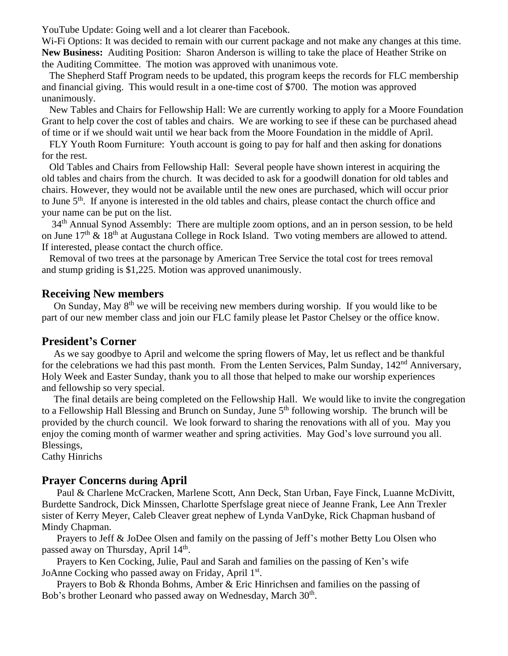YouTube Update: Going well and a lot clearer than Facebook.

Wi-Fi Options: It was decided to remain with our current package and not make any changes at this time. **New Business:** Auditing Position: Sharon Anderson is willing to take the place of Heather Strike on the Auditing Committee. The motion was approved with unanimous vote.

 The Shepherd Staff Program needs to be updated, this program keeps the records for FLC membership and financial giving. This would result in a one-time cost of \$700. The motion was approved unanimously.

 New Tables and Chairs for Fellowship Hall: We are currently working to apply for a Moore Foundation Grant to help cover the cost of tables and chairs. We are working to see if these can be purchased ahead of time or if we should wait until we hear back from the Moore Foundation in the middle of April.

 FLY Youth Room Furniture: Youth account is going to pay for half and then asking for donations for the rest.

 Old Tables and Chairs from Fellowship Hall: Several people have shown interest in acquiring the old tables and chairs from the church. It was decided to ask for a goodwill donation for old tables and chairs. However, they would not be available until the new ones are purchased, which will occur prior to June 5<sup>th</sup>. If anyone is interested in the old tables and chairs, please contact the church office and your name can be put on the list.

34<sup>th</sup> Annual Synod Assembly: There are multiple zoom options, and an in person session, to be held on June 17<sup>th</sup> & 18<sup>th</sup> at Augustana College in Rock Island. Two voting members are allowed to attend. If interested, please contact the church office.

 Removal of two trees at the parsonage by American Tree Service the total cost for trees removal and stump griding is \$1,225. Motion was approved unanimously.

#### **Receiving New members**

On Sunday, May  $8<sup>th</sup>$  we will be receiving new members during worship. If you would like to be part of our new member class and join our FLC family please let Pastor Chelsey or the office know.

#### **President's Corner**

As we say goodbye to April and welcome the spring flowers of May, let us reflect and be thankful for the celebrations we had this past month. From the Lenten Services, Palm Sunday, 142<sup>nd</sup> Anniversary, Holy Week and Easter Sunday, thank you to all those that helped to make our worship experiences and fellowship so very special.

The final details are being completed on the Fellowship Hall. We would like to invite the congregation to a Fellowship Hall Blessing and Brunch on Sunday, June 5<sup>th</sup> following worship. The brunch will be provided by the church council. We look forward to sharing the renovations with all of you. May you enjoy the coming month of warmer weather and spring activities. May God's love surround you all. Blessings,

Cathy Hinrichs

### **Prayer Concerns during April**

 Paul & Charlene McCracken, Marlene Scott, Ann Deck, Stan Urban, Faye Finck, Luanne McDivitt, Burdette Sandrock, Dick Minssen, Charlotte Sperfslage great niece of Jeanne Frank, Lee Ann Trexler sister of Kerry Meyer, Caleb Cleaver great nephew of Lynda VanDyke, Rick Chapman husband of Mindy Chapman.

 Prayers to Jeff & JoDee Olsen and family on the passing of Jeff's mother Betty Lou Olsen who passed away on Thursday, April 14<sup>th</sup>.

 Prayers to Ken Cocking, Julie, Paul and Sarah and families on the passing of Ken's wife JoAnne Cocking who passed away on Friday, April 1st.

 Prayers to Bob & Rhonda Bohms, Amber & Eric Hinrichsen and families on the passing of Bob's brother Leonard who passed away on Wednesday, March 30<sup>th</sup>.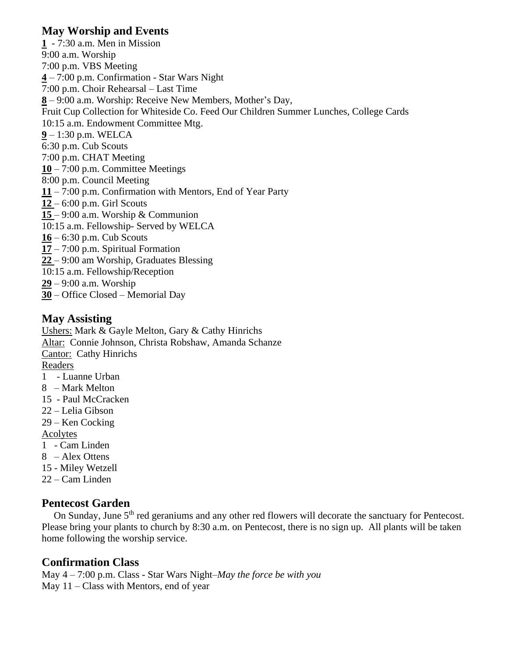## **May Worship and Events**

**1** - 7:30 a.m. Men in Mission 9:00 a.m. Worship 7:00 p.m. VBS Meeting **4** – 7:00 p.m. Confirmation - Star Wars Night 7:00 p.m. Choir Rehearsal – Last Time **8** – 9:00 a.m. Worship: Receive New Members, Mother's Day, Fruit Cup Collection for Whiteside Co. Feed Our Children Summer Lunches, College Cards 10:15 a.m. Endowment Committee Mtg. **9** – 1:30 p.m. WELCA 6:30 p.m. Cub Scouts 7:00 p.m. CHAT Meeting **10** – 7:00 p.m. Committee Meetings 8:00 p.m. Council Meeting **11** – 7:00 p.m. Confirmation with Mentors, End of Year Party **12** – 6:00 p.m. Girl Scouts **15** – 9:00 a.m. Worship & Communion 10:15 a.m. Fellowship- Served by WELCA **16** – 6:30 p.m. Cub Scouts **17** – 7:00 p.m. Spiritual Formation **22** – 9:00 am Worship, Graduates Blessing 10:15 a.m. Fellowship/Reception **29** – 9:00 a.m. Worship **30** – Office Closed – Memorial Day

- 
- **May Assisting** Ushers: Mark & Gayle Melton, Gary & Cathy Hinrichs Altar: Connie Johnson, Christa Robshaw, Amanda Schanze Cantor: Cathy Hinrichs Readers 1 - Luanne Urban 8 – Mark Melton 15 - Paul McCracken 22 – Lelia Gibson 29 – Ken Cocking Acolytes
- 1 Cam Linden
- 8 Alex Ottens
- 15 Miley Wetzell
- 22 Cam Linden

### **Pentecost Garden**

On Sunday, June 5<sup>th</sup> red geraniums and any other red flowers will decorate the sanctuary for Pentecost. Please bring your plants to church by 8:30 a.m. on Pentecost, there is no sign up. All plants will be taken home following the worship service.

## **Confirmation Class**

May 4 – 7:00 p.m. Class - Star Wars Night–*May the force be with you* May  $11 - Class$  with Mentors, end of year